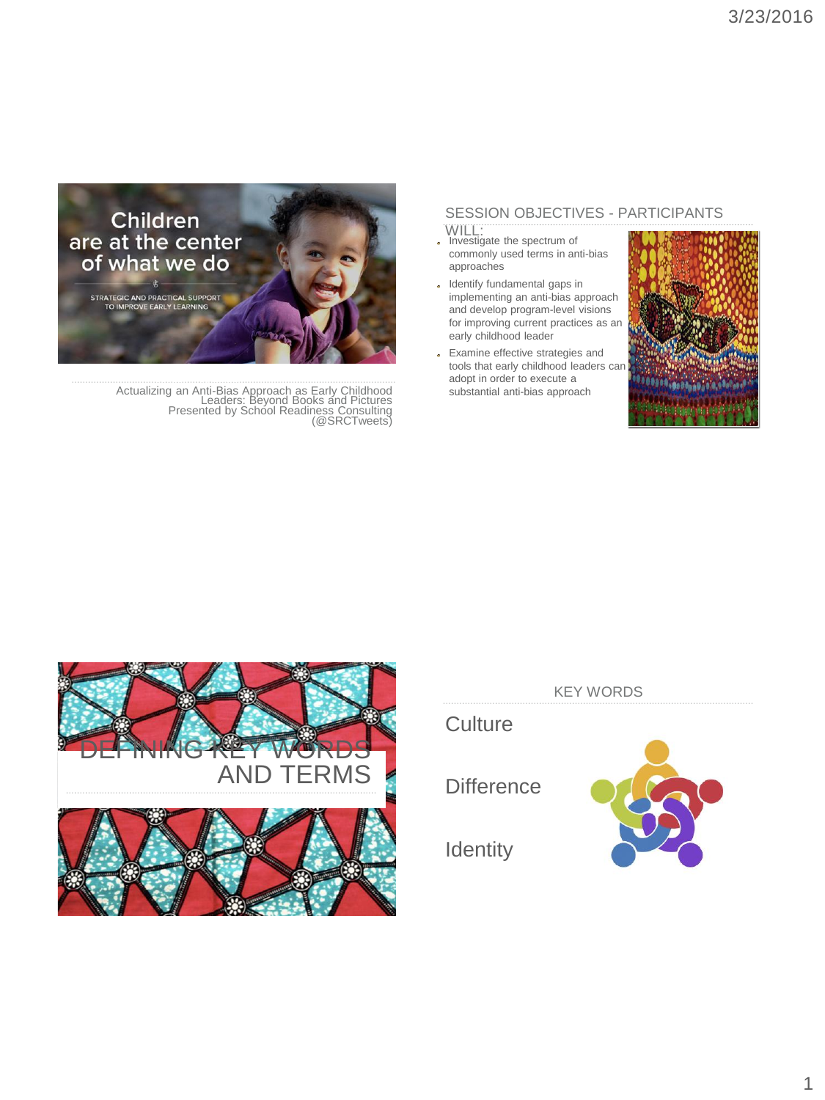### SESSION OBJECTIVES - PARTICIPANTS

- WILL: Investigate the spectrum of commonly used terms in anti-bias approaches
- Identify fundamental gaps in implementing an anti-bias approach and develop program-level visions for improving current practices as an early childhood leader
- Examine effective strategies and tools that early childhood leaders can adopt in order to execute a substantial anti-bias approach





February 3, 2016 Actualizing an Anti-Bias Approach as Early Childhood Leaders: Beyond Books and Pictures Presented by School Readiness Consulting (@SRCTweets)



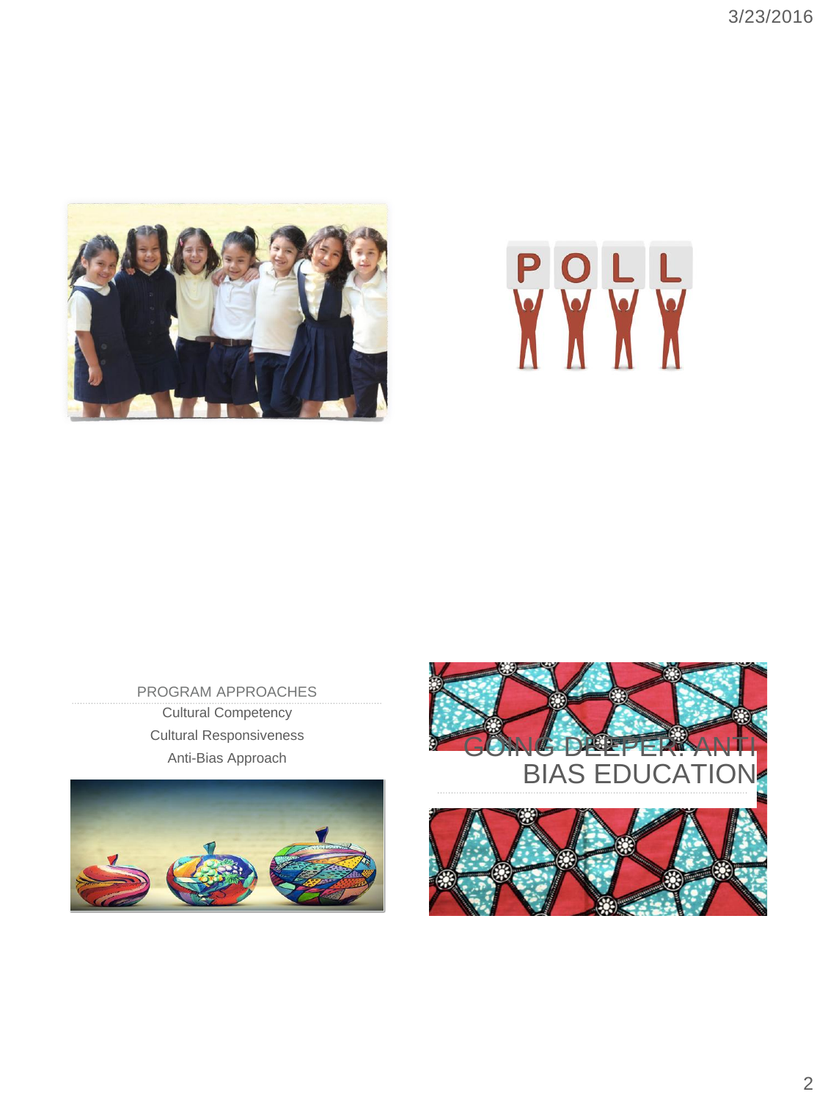

# POLL

PROGRAM APPROACHES Cultural Competency Cultural Responsiveness





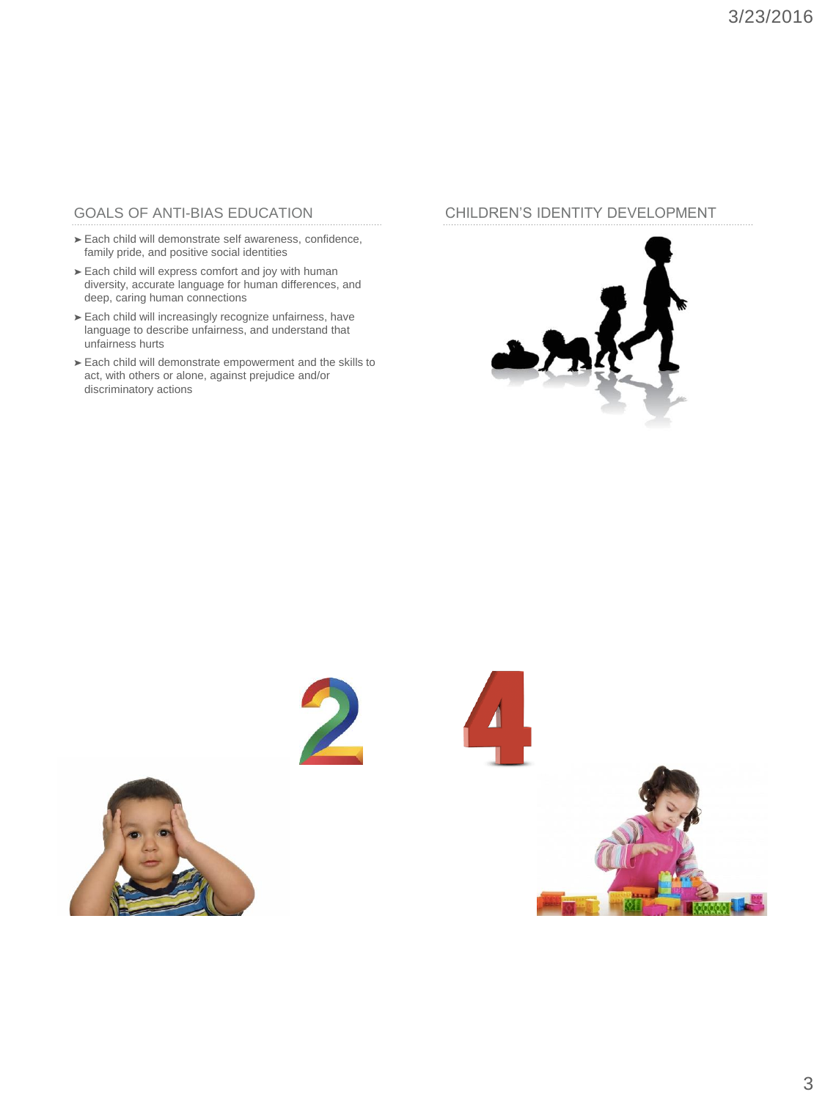## GOALS OF ANTI-BIAS EDUCATION

- ➤ Each child will demonstrate self awareness, confidence, family pride, and positive social identities
- ➤ Each child will express comfort and joy with human diversity, accurate language for human differences, and deep, caring human connections
- ➤ Each child will increasingly recognize unfairness, have language to describe unfairness, and understand that unfairness hurts
- ➤ Each child will demonstrate empowerment and the skills to act, with others or alone, against prejudice and/or discriminatory actions

### CHILDREN'S IDENTITY DEVELOPMENT









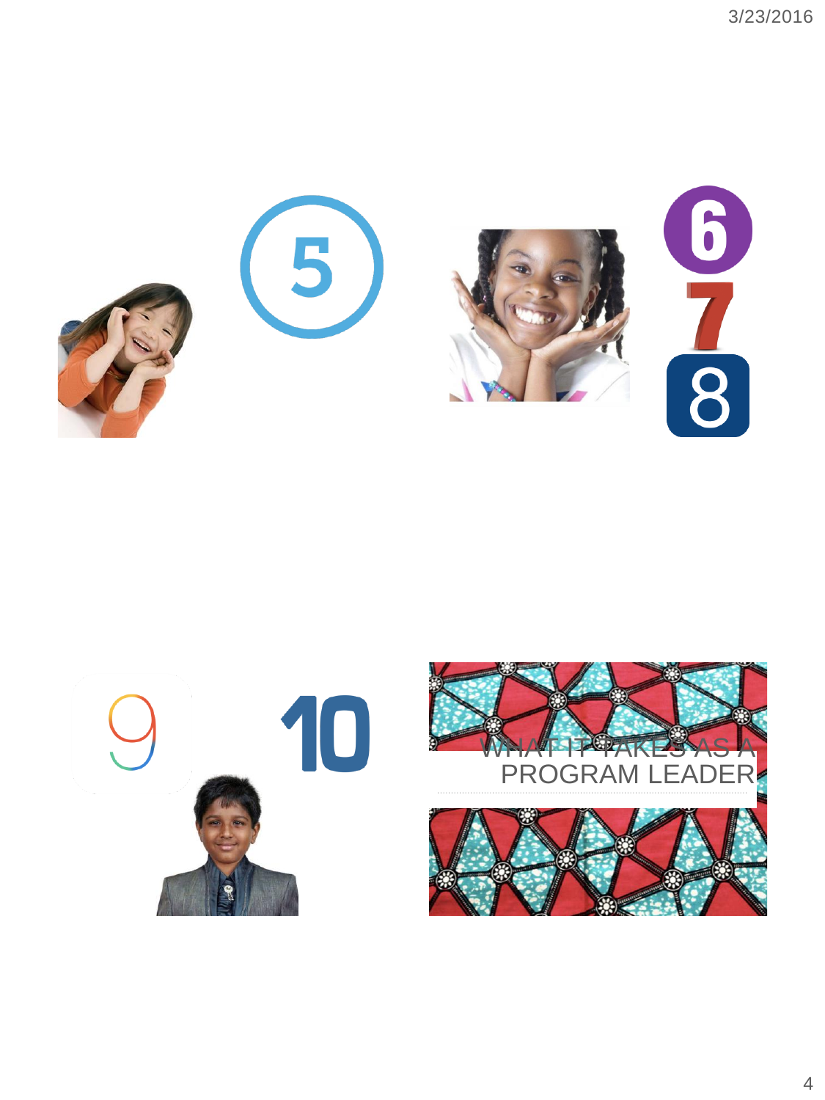





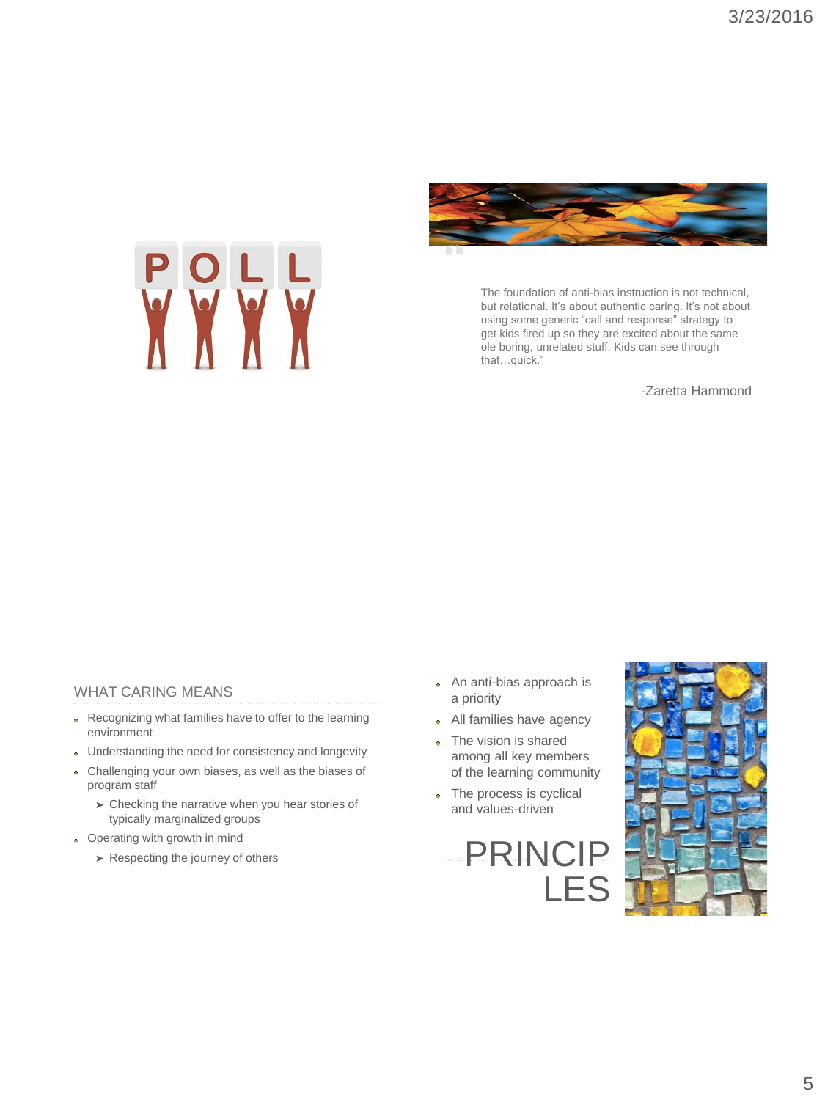



The foundation of anti-bias instruction is not technical, but relational. It's about authentic caring. It's not about using some generic "call and response" strategy to get kids fired up so they are excited about the same ole boring, unrelated stuff. Kids can see through that…quick."

-Zaretta Hammond

### WHAT CARING MEANS

- Recognizing what families have to offer to the learning environment
- Understanding the need for consistency and longevity
- Challenging your own biases, as well as the biases of program staff
	- ➤ Checking the narrative when you hear stories of typically marginalized groups
- Operating with growth in mind
	-
- An anti-bias approach is a priority
- All families have agency
- The vision is shared among all key members of the learning community
- The process is cyclical  $\sigma$ and values-driven



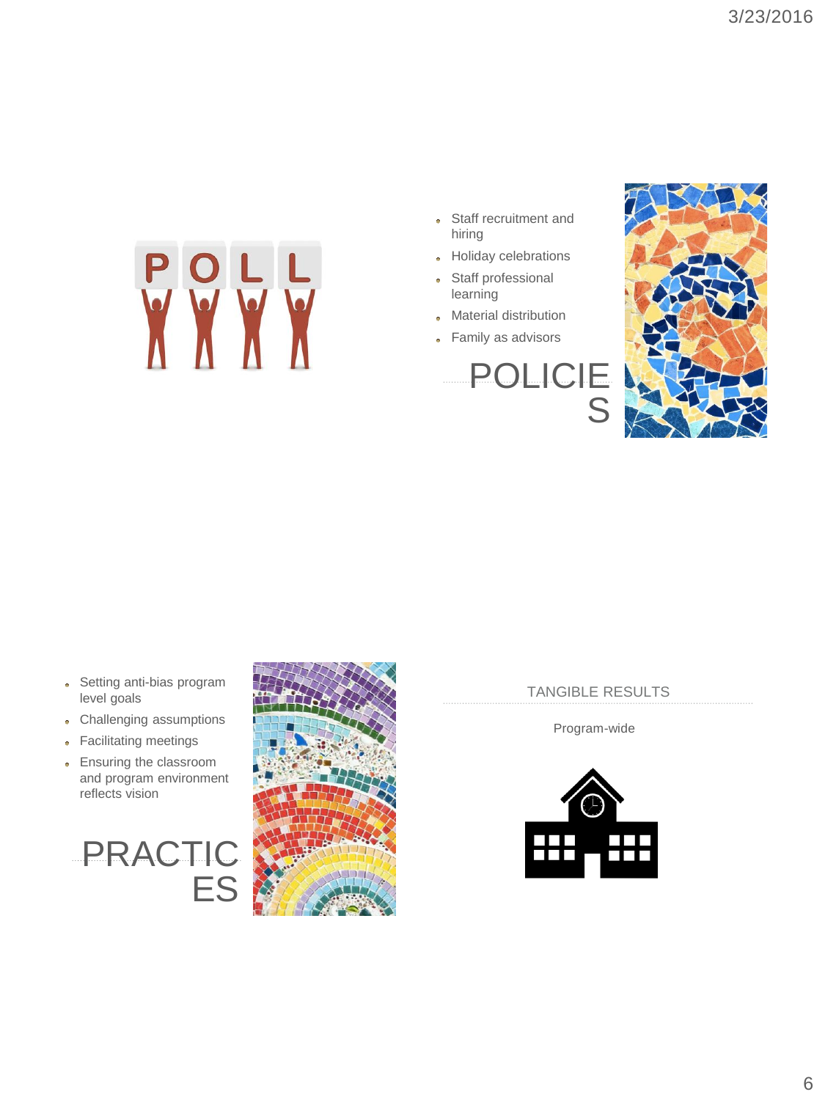

- Staff recruitment and ó hiring
- Holiday celebrations
- Staff professional learning
- Material distribution
- Family as advisors

# POLICIE S



- Setting anti-bias program  $\bullet$ level goals
- Challenging assumptions ö
- Facilitating meetings
- Ensuring the classroom à. and program environment reflects vision

# PRACTIC ES



TANGIBLE RESULTS

Program-wide

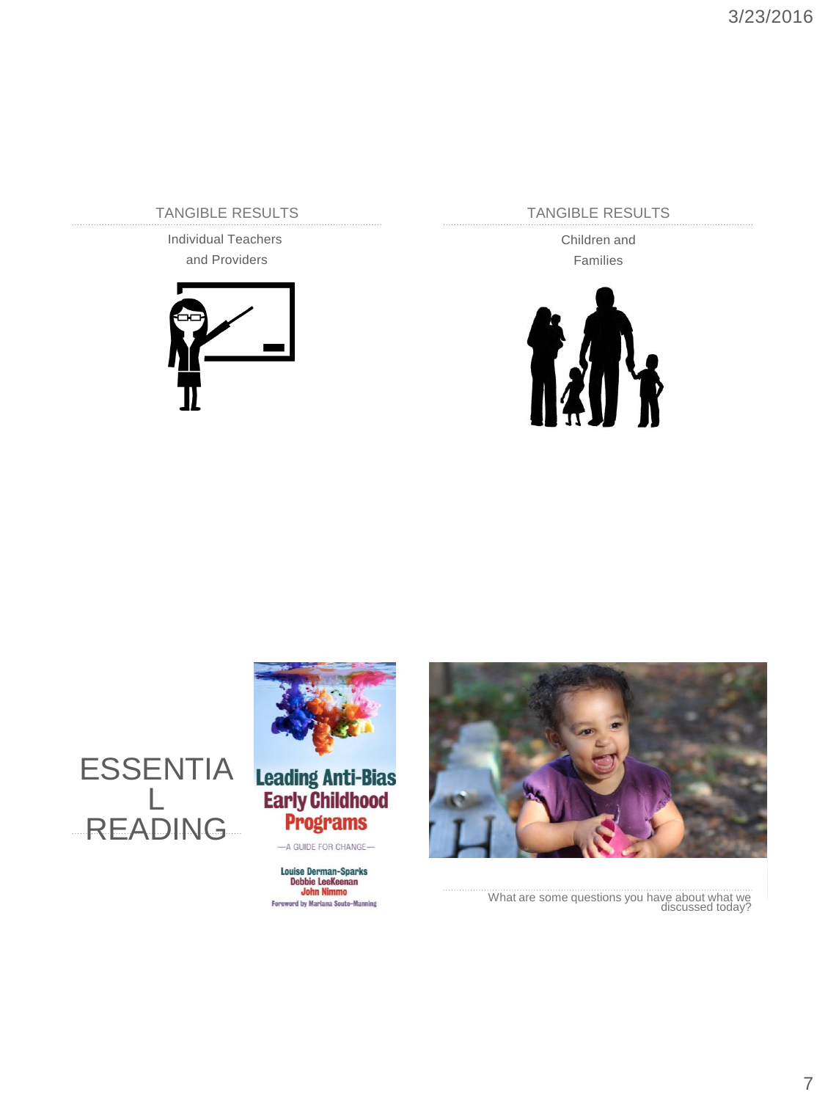TANGIBLE RESULTS

Individual Teachers and Providers



TANGIBLE RESULTS

Children and Families





What are some questions you have about what we discussed today?



**Programs** -A GUIDE FOR CHANGE

Louise Derman-Sparks<br>Debbie LeeKeenan<br>John Nimmo **Foreword by Mariana Souto-Manning**